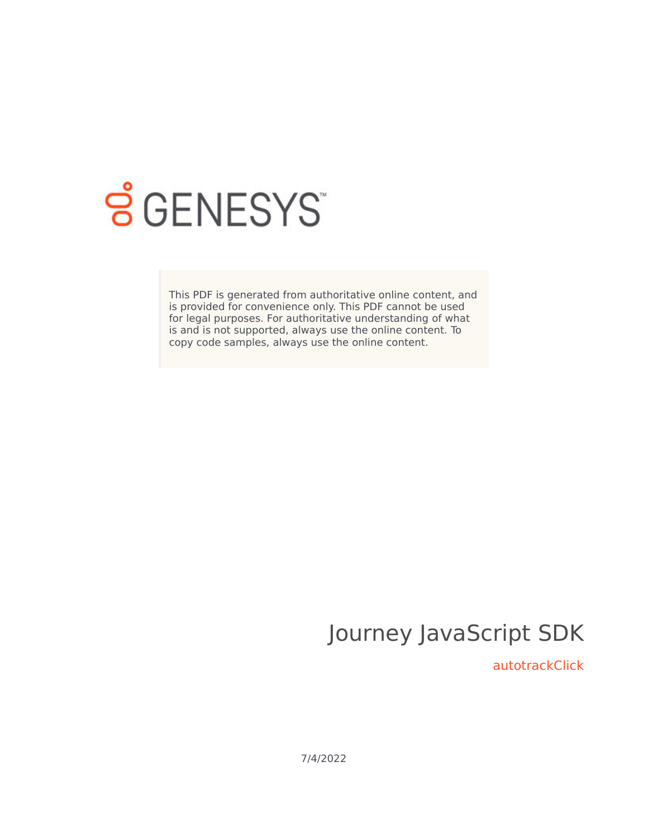

# **SGENESYS**

This PDF is generated from authoritative online content, and is provided for convenience only. This PDF cannot be used for legal purposes. For authoritative understanding of what is and is not supported, always use the online content. To copy code samples, always use the online content.

# Journey JavaScript SDK

autotrackClick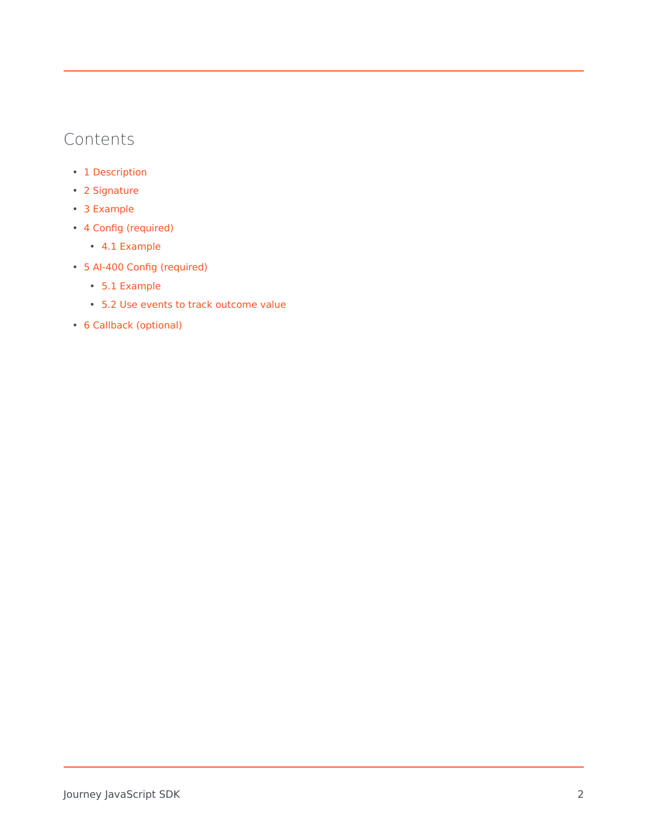## Contents

- 1 [Description](#page-2-0)
- 2 [Signature](#page-2-1)
- 3 [Example](#page-2-2)
- 4 [Config \(required\)](#page-3-0)
	- 4.1 [Example](#page-3-1)
- 5 AI-400 Config (required)
	- 5.1 Example
	- 5.2 Use events to track outcome value
- 6 [Callback \(optional\)](#page-3-2)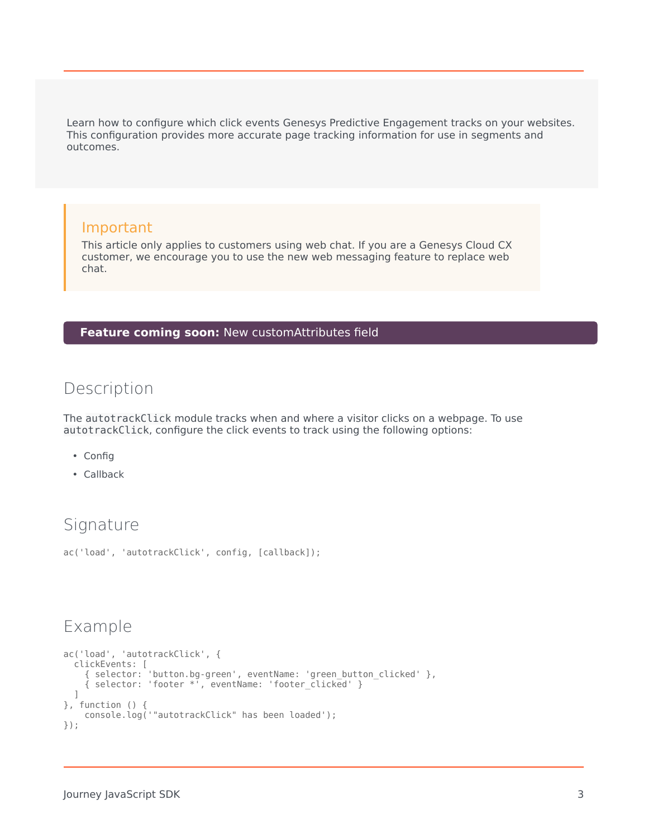Learn how to configure which click events Genesys Predictive Engagement tracks on your websites. This configuration provides more accurate page tracking information for use in segments and outcomes.

#### Important

This article only applies to customers using web chat. If you are a Genesys Cloud CX customer, we encourage you to use the new web messaging feature to replace web chat.

#### **Feature coming soon:** New customAttributes field

#### <span id="page-2-0"></span>Description

The autotrackClick module tracks when and where a visitor clicks on a webpage. To use autotrackClick, configure the click events to track using the following options:

- Config
- Callback

### <span id="page-2-1"></span>Signature

```
ac('load', 'autotrackClick', config, [callback]);
```
#### <span id="page-2-2"></span>Example

```
ac('load', 'autotrackClick', {
  clickEvents: [
    { selector: 'button.bg-green', eventName: 'green_button_clicked' },
    { selector: 'footer *', eventName: 'footer_clicked' }
  ]
}, function () {
   console.log('"autotrackClick" has been loaded');
});
```